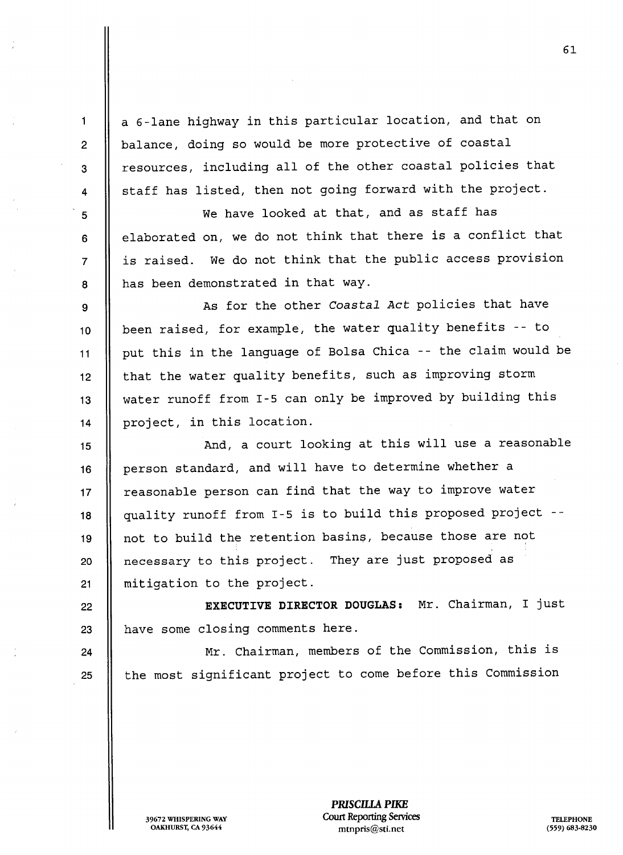a 6-lane highway in this particular location, and that on balance, doing so would be more protective of coastal resources, including all of the other coastal policies that staff has listed, then not going forward with the project.

We have looked at that, and as staff has elaborated on, we do not think that there is a conflict that is raised. We do not think that the public access provision has been demonstrated in that way

As for the other Coastal Act policies that have || been raised, for example, the water quality benefits -- to put this in the language of Bolsa Chica -- the claim would be 12 | that the water quality benefits, such as improving storm water runoff from 1-5 can only be improved by building this | project, in this location.

<sup>15</sup> And court looking at this will use reasonable 16 | person standard, and will have to determine whether a 17 || reasonable person can find that the way to improve water <sup>18</sup> quality runoff from 1-5 is to build this proposed project -- 19 || not to build the retention basins, because those are not 20 | necessary to this project. They are just proposed as 21 || mitigation to the project.

22 || **EXECUTIVE DIRECTOR DOUGLAS:** Mr. Chairman, I just  $23$  || have some closing comments here.

24 || Mr. Chairman, members of the Commission, this is 25 || the most significant project to come before this Commission

1

 $\overline{2}$ 

3

 $\overline{\mathbf{4}}$ 

5

6

 $\overline{7}$ 

8

9

PRISCILLA PIKE 39672 WHISPERING WAY COULT Reporting Services TELEPHONE OAKHURST, CA 93644 mtnpris@sti.net 559) 683-8230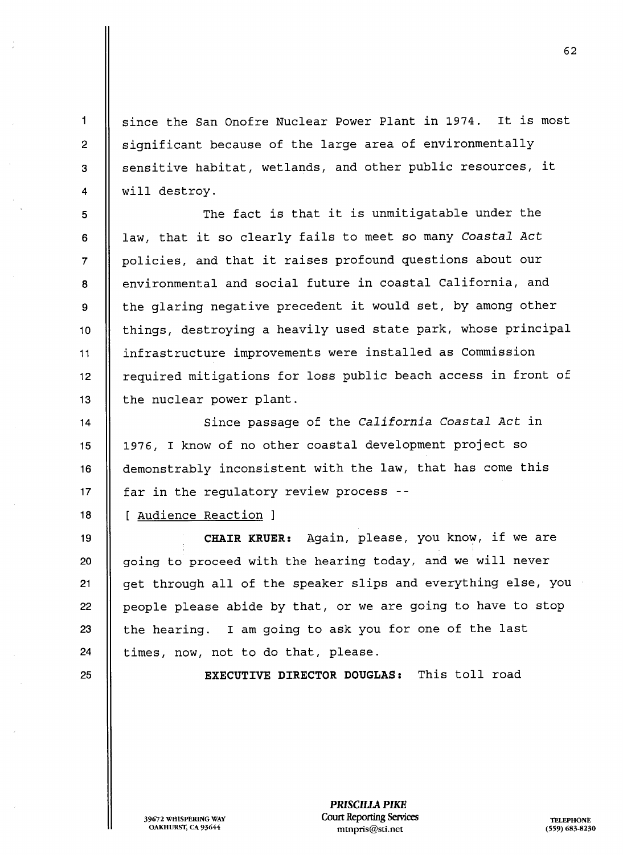since the San Onofre Nuclear Power Plant in 1974. It is most significant because of the large area of environmentally sensitive habitat, wetlands, and other public resources, it will destroy

The fact is that it is unmitigatable under the law, that it so clearly fails to meet so many Coastal Act policies, and that it raises profound questions about our environmental and social future in coastal California, and the glaring negative precedent it would set, by among other 10 || things, destroying a heavily used state park, whose principal <sup>11</sup> infrastructure improvements were installed as Commission 12 | required mitigations for loss public beach access in front of 13  $\parallel$  the nuclear power plant.

14 || Since passage of the California Coastal Act in 15 || 1976, I know of no other coastal development project so 16 | demonstrably inconsistent with the law, that has come this 17  $\parallel$  far in the regulatory review process --

18 | [ Audience Reaction ]

19 || CHAIR KRUER: Again, please, you know, if we are  $\parallel$  going to proceed with the hearing today, and we will never 21 | get through all of the speaker slips and everything else, you  $\parallel$  people please abide by that, or we are going to have to stop  $\parallel$  the hearing. I am going to ask you for one of the last || times, now, not to do that, please.

 $\mathbf 1$ 

 $\overline{2}$ 

3

 $\overline{4}$ 

5

6

 $\overline{7}$ 

8

9

25 || **EXECUTIVE DIRECTOR DOUGLAS:** This toll road

PRISCILLA PIKE 39672 WHISPERING WAY Court Reporting Services<br>Court Reporting Services TELEPHONE TELEPHONE MEDICINE TELEPHONE mtnpris@sti.net (559) 683-8230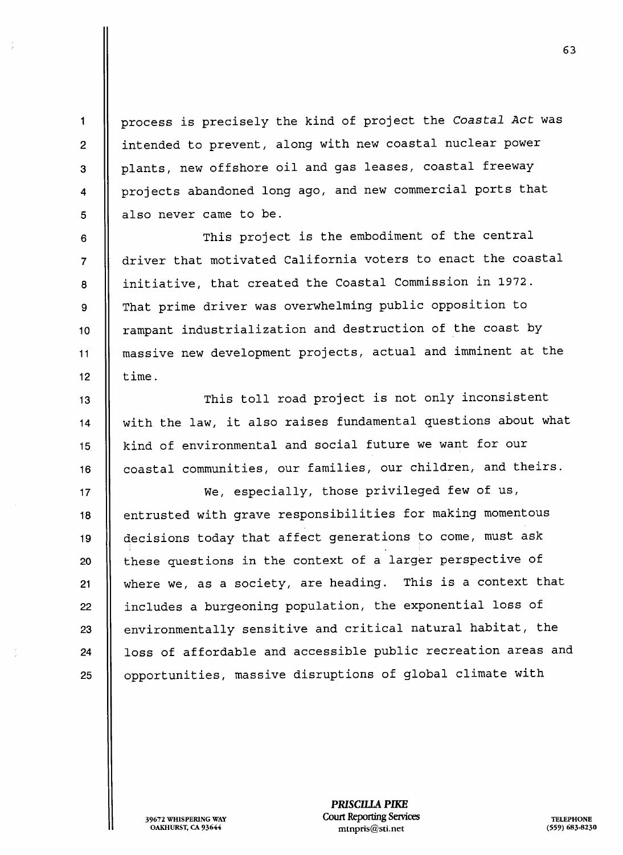process is precisely the kind of project the Coastal Act was intended to prevent, along with new coastal nuclear power plants, new offshore oil and gas leases, coastal freeway projects abandoned long ago, and new commercial ports that also never came to be

This project is the embodiment of the central driver that motivated California voters to enact the coastal initiative, that created the Coastal Commission in 1972. That prime driver was overwhelming public opposition to 10 | rampant industrialization and destruction of the coast by <sup>11</sup> massive new development projects actual and imminent at the 12  $\parallel$  time.

13 || This toll road project is not only inconsistent 14 | with the law, it also raises fundamental questions about what 15 | kind of environmental and social future we want for our 16 | coastal communities, our families, our children, and theirs.

 $17$  || We, especially, those privileged few of us, 18 | entrusted with grave responsibilities for making momentous 19 | decisions today that affect generations to come, must ask 20 || these questions in the context of a larger perspective of 21  $\parallel$  where we, as a society, are heading. This is a context that 22 || includes a burgeoning population, the exponential loss of  $23$   $\parallel$  environmentally sensitive and critical natural habitat, the 24 | loss of affordable and accessible public recreation areas and 25 | opportunities, massive disruptions of global climate with

> PRISCILLA PIKE 39672 WHISPERING WAY **Court Reporting Services** TELEPHONE

OAKHURST, CA 93644 mtnpris@sti.net 559) 683-8230

 $\mathbf{1}$ 

 $\overline{2}$ 

3

 $\overline{\mathbf{4}}$ 

5

6

 $\overline{7}$ 

8

9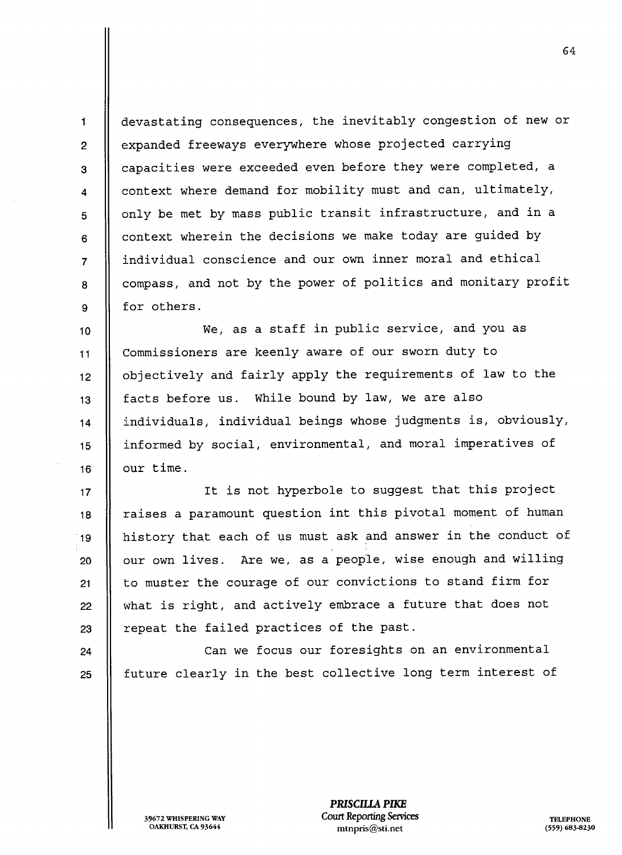devastating consequences, the inevitably congestion of new or expanded freeways everywhere whose projected carrying capacities were exceeded even before they were completed context where demand for mobility must and can, ultimately, only be met by mass public transit infrastructure, and in a context wherein the decisions we make today are guided by individual conscience and our own inner moral and ethical compass and not by the power of politics and monitary profit for others

 $\parallel$  We, as a staff in public service, and you as 11 | Commissioners are keenly aware of our sworn duty to 12 | objectively and fairly apply the requirements of law to the  $13$  || facts before us. While bound by law, we are also 14 | individuals, individual beings whose judgments is, obviously, 15 || informed by social, environmental, and moral imperatives of 16  $\parallel$  our time.

17 || It is not hyperbole to suggest that this project  $18$  || raises a paramount question int this pivotal moment of human <sup>19</sup> history that each of us must ask and answer in the conduct of 20 | our own lives. Are we, as a people, wise enough and willing 21 || to muster the courage of our convictions to stand firm for  $22$   $\parallel$  what is right, and actively embrace a future that does not  $23$  || repeat the failed practices of the past.

24 || Can we focus our foresights on an environmental  $25$  || future clearly in the best collective long term interest of

 $\blacksquare$ 

 $\overline{2}$ 

3

 $\overline{\mathbf{4}}$ 

5

6

 $\overline{7}$ 

8

9

PRISCILLA PIKE 39672 WHISPERING WAY Court Reporting Services TELEPHONE OAKHURST, CA 93644 mtnpris@sti.net 559) 683-8230